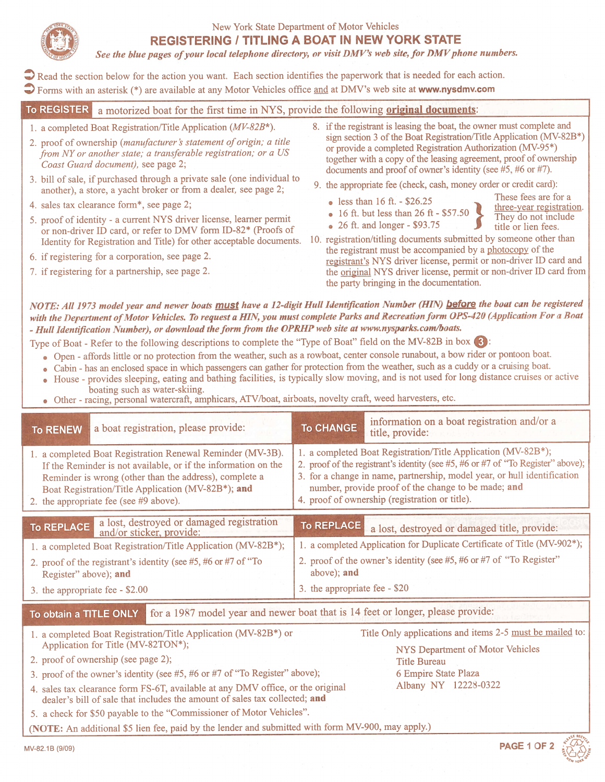

### New York State Department of Motor Vehicles REGISTERING I TITLING A BOAT IN NEW YORK STATE

See the blue pages of your local telephone directory, or visit DMV's web site, for DMV phone numbers.

Read the section below for the action you want. Each section identifies the paperwork that is needed for each action.  $\bigcirc$  Forms with an asterisk (\*) are available at any Motor Vehicles office and at DMV's web site at www.nysdmv.com

**To REGISTER** a motorized boat for the first time in NYS, provide the following **original documents** 1. a completed Boat Registration/Title Application ( $MV-82B^*$ ).

- 2. proof of ownership (manufacturer's statement of origin; a title  $from NY$  or another state; a transferable registration; or a  $US$ Coast Guard document), see page 2;
- <sup>3</sup> . bill of sale, if purchased through <sup>a</sup> private sale (one individual to another), <sup>a</sup> store, <sup>a</sup> yacht broker or from <sup>a</sup> dealer, see page 2;
- 4. sales tax clearance form\*, see page 2;
- 5. proo<sup>f</sup> of identity <sup>a</sup> current NYS driver license, learner permit or non-driver ID card, or refer to DMV form ID-82\* (Proofs of
- 6. if registering for a corporation, see page 2.
- 7. if registering for a partnership, see page 2.
- 8. if the registrant is leasing the boat, the owner must complete and sign section 3 of the Boat Registration/Title Application (MV-82B\*) or provide a completed Registration Authorization (MV-95\*) together with a copy of the leasing agreement, proof of ownership documents and proo<sup>f</sup> of owner's identity (see #5, #6 or #7).
- 9. the appropriate fee (check, cash, money order or credit card):
	-
	-
	-
	- less than 16 ft. \$26.25 These fees are for a three-year registration. • 16 ft. but less than 26 ft -  $$57.50$  They do not include . 26 ft. and longer -  $$93.75$  They do not include title or lien fees.
- Identity for Registration and Title) for other acceptable documents. 10. registration/titling documents submitted by someone other than the registrant must be accompanied by a photocopy of the registrant's NYS driver license, permit or non-driver ID card and the original NYS driver license, permit or non-driver ID card from the party bringing in the documentation.

NOTE: All 1973 model year and newer boats must have a 12-digit Hull Identification Number (HIN) before the boat can be registered with the Department of Motor Vehicles. To request a HIN, you must complete Parks and Recreation form OPS-420 (Application For a Boat - Hull Identfication Number), or download theformfrom the OPRHP web site at www.nysparks.com/boats.

- 
- 
- Type of Boat Refer to the following descriptions to complete the "Type of Boat" field on the MV-82B in box (3):<br>
 Open affords little or no protection from the weather, such as a rowboat, center console runabout, a bo
	- o Other racing, personal watercraft, amphicars, ATV/boat, airboats, novelty craft, weed harvesters, etc.

| <b>To RENEW</b>                                                                                                                                                                                                                                                                          | a boat registration, please provide:                                                                                                   | <b>To CHANGE</b>                                                                                                                                                                                                                                                                                                                       | information on a boat registration and/or a<br>title, provide:           |
|------------------------------------------------------------------------------------------------------------------------------------------------------------------------------------------------------------------------------------------------------------------------------------------|----------------------------------------------------------------------------------------------------------------------------------------|----------------------------------------------------------------------------------------------------------------------------------------------------------------------------------------------------------------------------------------------------------------------------------------------------------------------------------------|--------------------------------------------------------------------------|
| 1. a completed Boat Registration Renewal Reminder (MV-3B).<br>If the Reminder is not available, or if the information on the<br>Reminder is wrong (other than the address), complete a<br>Boat Registration/Title Application (MV-82B*); and<br>2. the appropriate fee (see $#9$ above). |                                                                                                                                        | 1. a completed Boat Registration/Title Application (MV-82B*);<br>2. proof of the registrant's identity (see #5, #6 or #7 of "To Register" above);<br>3. for a change in name, partnership, model year, or hull identification<br>number, provide proof of the change to be made; and<br>4. proof of ownership (registration or title). |                                                                          |
|                                                                                                                                                                                                                                                                                          |                                                                                                                                        |                                                                                                                                                                                                                                                                                                                                        |                                                                          |
|                                                                                                                                                                                                                                                                                          |                                                                                                                                        |                                                                                                                                                                                                                                                                                                                                        |                                                                          |
| To REPLACE                                                                                                                                                                                                                                                                               |                                                                                                                                        | To REPLACE                                                                                                                                                                                                                                                                                                                             | a lost, destroyed or damaged title, provide:                             |
|                                                                                                                                                                                                                                                                                          | a lost, destroyed or damaged registration<br>and/or sticker, provide:<br>1. a completed Boat Registration/Title Application (MV-82B*); |                                                                                                                                                                                                                                                                                                                                        | 1. a completed Application for Duplicate Certificate of Title (MV-902*); |
| Register" above); and                                                                                                                                                                                                                                                                    | 2. proof of the registrant's identity (see #5, #6 or #7 of "To                                                                         | above); and                                                                                                                                                                                                                                                                                                                            | 2. proof of the owner's identity (see #5, #6 or #7 of "To Register"      |
| 3. the appropriate fee - \$2.00                                                                                                                                                                                                                                                          |                                                                                                                                        | 3. the appropriate fee - \$20                                                                                                                                                                                                                                                                                                          |                                                                          |

To obtain a TITLE ONLY for a 1987 model year and newer boat that is 14 feet or longer, please provide

- 1. a completed Boat Registration/Title Application (MV-82B\*) or Title Only applications and items 2-5 must be mailed to: Application for Title (MV-82TON\*);
- 2. proof of ownership (see page 2); Title Bureau and Title Bureau and Title Bureau
- 3. proo<sup>f</sup> of the owner's identity (see #5, #6 or #7 of "To Register" above); <sup>6</sup> Empire State Plaza
- 4. sales tax clearance form FS-6T, available at any DMV office, or the original Albany NY 12228-0322 dealer's bill of sale that includes the amount of sales tax collected; and
- 5. <sup>a</sup> check for \$50 payable to the "Commissioner of Motor Vehicles".

(NOTE: An additional \$5 lien fee, paid by the lender and submitted with form MV-900, may apply.)

MV-82.1B (9/09) **PAGE 1 OF 2** 

NYS Department of Motor Vehicles